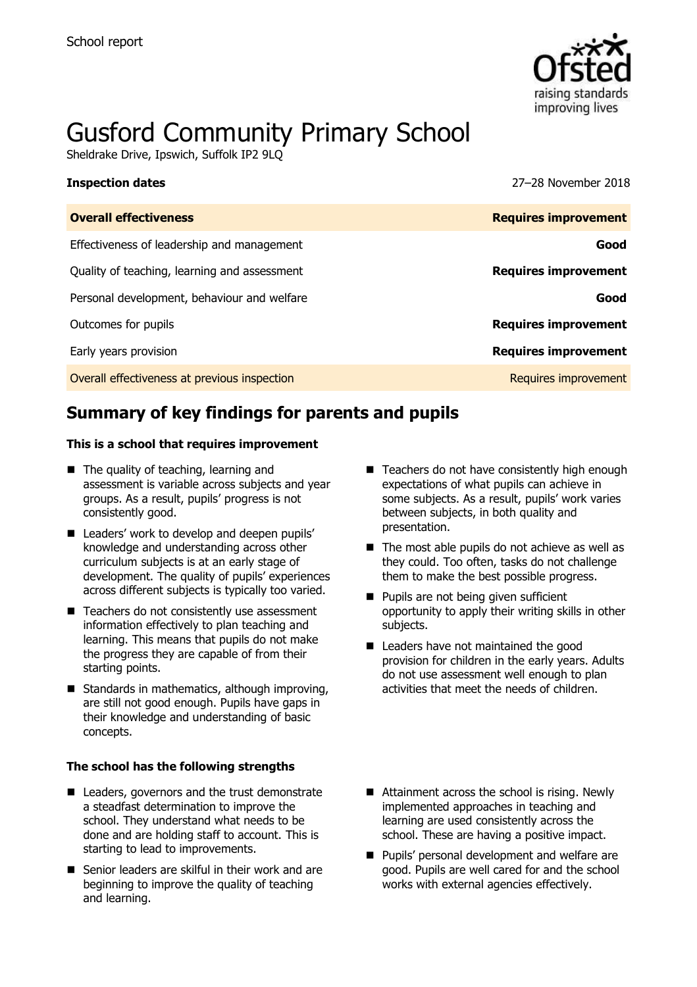

# Gusford Community Primary School

Sheldrake Drive, Ipswich, Suffolk IP2 9LQ

**Inspection dates** 27–28 November 2018

| <b>Requires improvement</b> |
|-----------------------------|
| Good                        |
| <b>Requires improvement</b> |
| Good                        |
| <b>Requires improvement</b> |
| <b>Requires improvement</b> |
| Requires improvement        |
|                             |

# **Summary of key findings for parents and pupils**

#### **This is a school that requires improvement**

- The quality of teaching, learning and assessment is variable across subjects and year groups. As a result, pupils' progress is not consistently good.
- Leaders' work to develop and deepen pupils' knowledge and understanding across other curriculum subjects is at an early stage of development. The quality of pupils' experiences across different subjects is typically too varied.
- Teachers do not consistently use assessment information effectively to plan teaching and learning. This means that pupils do not make the progress they are capable of from their starting points.
- $\blacksquare$  Standards in mathematics, although improving, are still not good enough. Pupils have gaps in their knowledge and understanding of basic concepts.

#### **The school has the following strengths**

- Leaders, governors and the trust demonstrate a steadfast determination to improve the school. They understand what needs to be done and are holding staff to account. This is starting to lead to improvements.
- Senior leaders are skilful in their work and are beginning to improve the quality of teaching and learning.
- $\blacksquare$  Teachers do not have consistently high enough expectations of what pupils can achieve in some subjects. As a result, pupils' work varies between subjects, in both quality and presentation.
- $\blacksquare$  The most able pupils do not achieve as well as they could. Too often, tasks do not challenge them to make the best possible progress.
- **Pupils are not being given sufficient** opportunity to apply their writing skills in other subjects.
- Leaders have not maintained the good provision for children in the early years. Adults do not use assessment well enough to plan activities that meet the needs of children.
- Attainment across the school is rising. Newly implemented approaches in teaching and learning are used consistently across the school. These are having a positive impact.
- **Pupils' personal development and welfare are** good. Pupils are well cared for and the school works with external agencies effectively.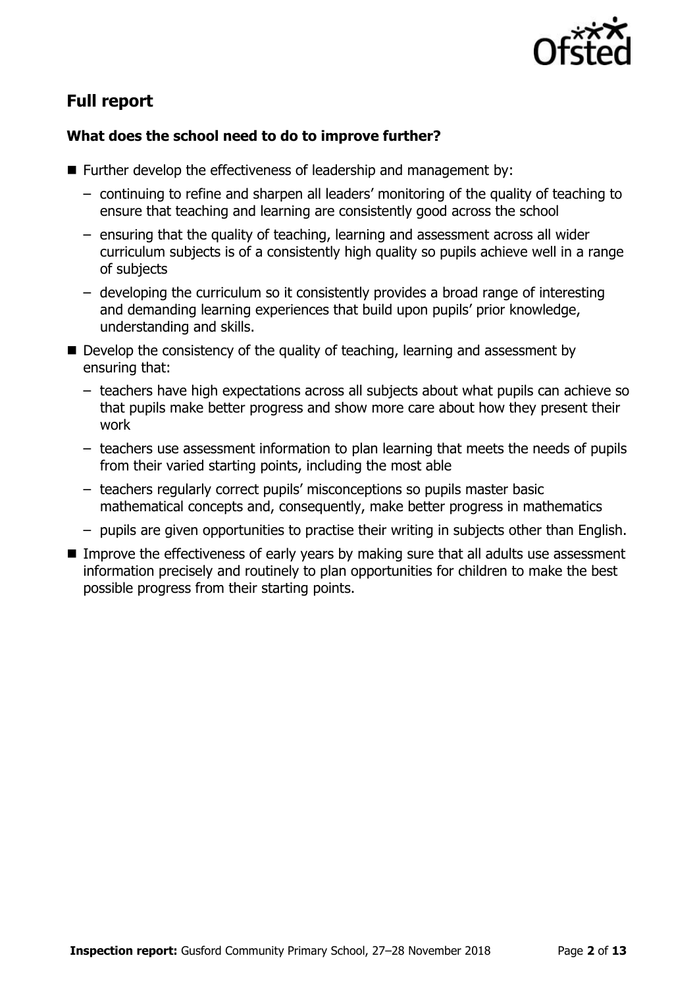

## **Full report**

### **What does the school need to do to improve further?**

- Further develop the effectiveness of leadership and management by:
	- continuing to refine and sharpen all leaders' monitoring of the quality of teaching to ensure that teaching and learning are consistently good across the school
	- ensuring that the quality of teaching, learning and assessment across all wider curriculum subjects is of a consistently high quality so pupils achieve well in a range of subjects
	- developing the curriculum so it consistently provides a broad range of interesting and demanding learning experiences that build upon pupils' prior knowledge, understanding and skills.
- Develop the consistency of the quality of teaching, learning and assessment by ensuring that:
	- teachers have high expectations across all subjects about what pupils can achieve so that pupils make better progress and show more care about how they present their work
	- teachers use assessment information to plan learning that meets the needs of pupils from their varied starting points, including the most able
	- teachers regularly correct pupils' misconceptions so pupils master basic mathematical concepts and, consequently, make better progress in mathematics
	- pupils are given opportunities to practise their writing in subjects other than English.
- Improve the effectiveness of early years by making sure that all adults use assessment information precisely and routinely to plan opportunities for children to make the best possible progress from their starting points.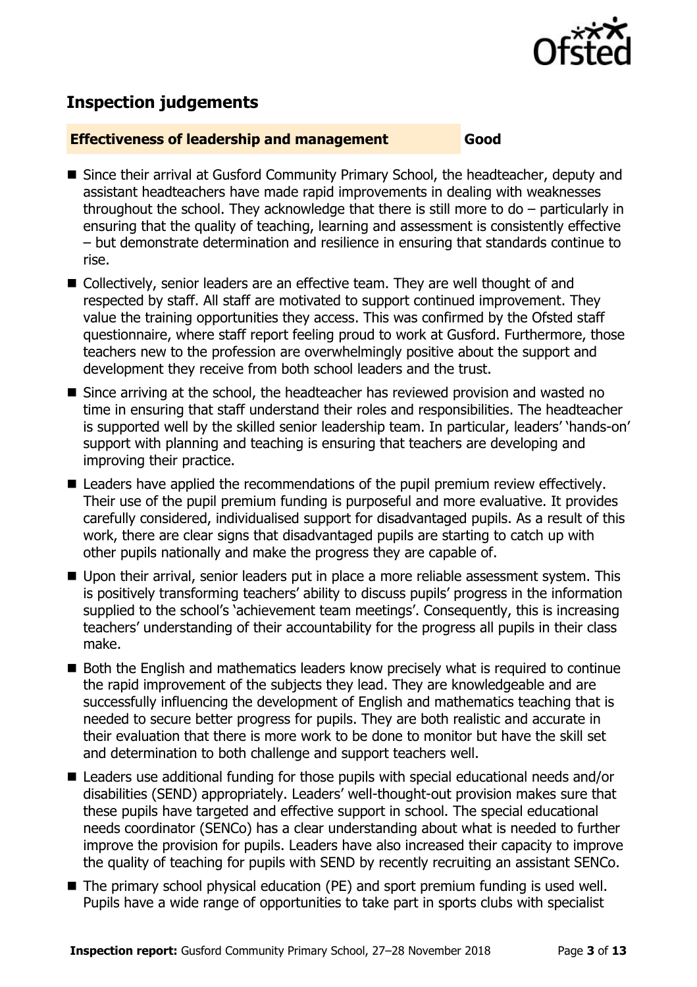

# **Inspection judgements**

#### **Effectiveness of leadership and management Good**

- Since their arrival at Gusford Community Primary School, the headteacher, deputy and assistant headteachers have made rapid improvements in dealing with weaknesses throughout the school. They acknowledge that there is still more to do – particularly in ensuring that the quality of teaching, learning and assessment is consistently effective – but demonstrate determination and resilience in ensuring that standards continue to rise.
- Collectively, senior leaders are an effective team. They are well thought of and respected by staff. All staff are motivated to support continued improvement. They value the training opportunities they access. This was confirmed by the Ofsted staff questionnaire, where staff report feeling proud to work at Gusford. Furthermore, those teachers new to the profession are overwhelmingly positive about the support and development they receive from both school leaders and the trust.
- Since arriving at the school, the headteacher has reviewed provision and wasted no time in ensuring that staff understand their roles and responsibilities. The headteacher is supported well by the skilled senior leadership team. In particular, leaders' 'hands-on' support with planning and teaching is ensuring that teachers are developing and improving their practice.
- Leaders have applied the recommendations of the pupil premium review effectively. Their use of the pupil premium funding is purposeful and more evaluative. It provides carefully considered, individualised support for disadvantaged pupils. As a result of this work, there are clear signs that disadvantaged pupils are starting to catch up with other pupils nationally and make the progress they are capable of.
- Upon their arrival, senior leaders put in place a more reliable assessment system. This is positively transforming teachers' ability to discuss pupils' progress in the information supplied to the school's 'achievement team meetings'. Consequently, this is increasing teachers' understanding of their accountability for the progress all pupils in their class make.
- Both the English and mathematics leaders know precisely what is required to continue the rapid improvement of the subjects they lead. They are knowledgeable and are successfully influencing the development of English and mathematics teaching that is needed to secure better progress for pupils. They are both realistic and accurate in their evaluation that there is more work to be done to monitor but have the skill set and determination to both challenge and support teachers well.
- Leaders use additional funding for those pupils with special educational needs and/or disabilities (SEND) appropriately. Leaders' well-thought-out provision makes sure that these pupils have targeted and effective support in school. The special educational needs coordinator (SENCo) has a clear understanding about what is needed to further improve the provision for pupils. Leaders have also increased their capacity to improve the quality of teaching for pupils with SEND by recently recruiting an assistant SENCo.
- The primary school physical education (PE) and sport premium funding is used well. Pupils have a wide range of opportunities to take part in sports clubs with specialist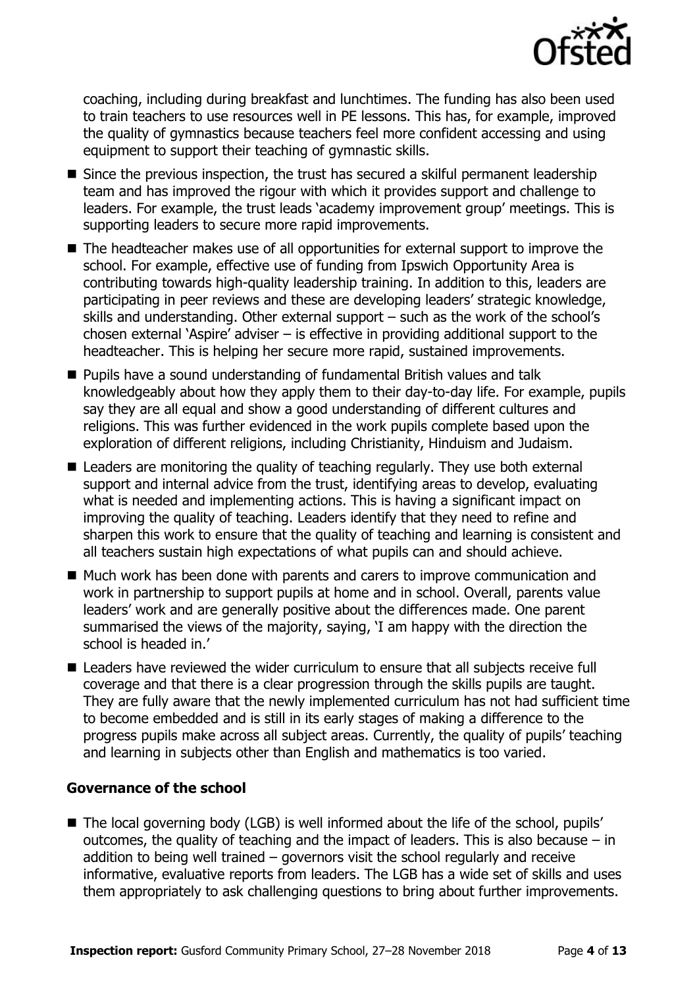

coaching, including during breakfast and lunchtimes. The funding has also been used to train teachers to use resources well in PE lessons. This has, for example, improved the quality of gymnastics because teachers feel more confident accessing and using equipment to support their teaching of gymnastic skills.

- Since the previous inspection, the trust has secured a skilful permanent leadership team and has improved the rigour with which it provides support and challenge to leaders. For example, the trust leads 'academy improvement group' meetings. This is supporting leaders to secure more rapid improvements.
- The headteacher makes use of all opportunities for external support to improve the school. For example, effective use of funding from Ipswich Opportunity Area is contributing towards high-quality leadership training. In addition to this, leaders are participating in peer reviews and these are developing leaders' strategic knowledge, skills and understanding. Other external support – such as the work of the school's chosen external 'Aspire' adviser – is effective in providing additional support to the headteacher. This is helping her secure more rapid, sustained improvements.
- Pupils have a sound understanding of fundamental British values and talk knowledgeably about how they apply them to their day-to-day life. For example, pupils say they are all equal and show a good understanding of different cultures and religions. This was further evidenced in the work pupils complete based upon the exploration of different religions, including Christianity, Hinduism and Judaism.
- Leaders are monitoring the quality of teaching regularly. They use both external support and internal advice from the trust, identifying areas to develop, evaluating what is needed and implementing actions. This is having a significant impact on improving the quality of teaching. Leaders identify that they need to refine and sharpen this work to ensure that the quality of teaching and learning is consistent and all teachers sustain high expectations of what pupils can and should achieve.
- Much work has been done with parents and carers to improve communication and work in partnership to support pupils at home and in school. Overall, parents value leaders' work and are generally positive about the differences made. One parent summarised the views of the majority, saying, 'I am happy with the direction the school is headed in.'
- Leaders have reviewed the wider curriculum to ensure that all subjects receive full coverage and that there is a clear progression through the skills pupils are taught. They are fully aware that the newly implemented curriculum has not had sufficient time to become embedded and is still in its early stages of making a difference to the progress pupils make across all subject areas. Currently, the quality of pupils' teaching and learning in subjects other than English and mathematics is too varied.

#### **Governance of the school**

■ The local governing body (LGB) is well informed about the life of the school, pupils' outcomes, the quality of teaching and the impact of leaders. This is also because – in addition to being well trained – governors visit the school regularly and receive informative, evaluative reports from leaders. The LGB has a wide set of skills and uses them appropriately to ask challenging questions to bring about further improvements.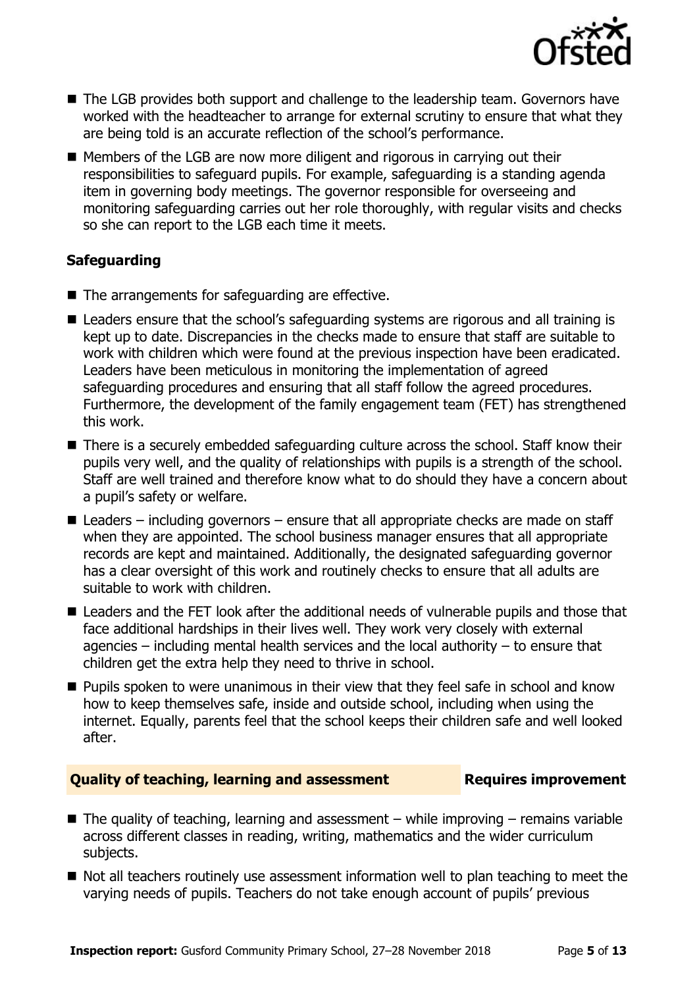

- The LGB provides both support and challenge to the leadership team. Governors have worked with the headteacher to arrange for external scrutiny to ensure that what they are being told is an accurate reflection of the school's performance.
- Members of the LGB are now more diligent and rigorous in carrying out their responsibilities to safeguard pupils. For example, safeguarding is a standing agenda item in governing body meetings. The governor responsible for overseeing and monitoring safeguarding carries out her role thoroughly, with regular visits and checks so she can report to the LGB each time it meets.

### **Safeguarding**

- $\blacksquare$  The arrangements for safeguarding are effective.
- Leaders ensure that the school's safeguarding systems are rigorous and all training is kept up to date. Discrepancies in the checks made to ensure that staff are suitable to work with children which were found at the previous inspection have been eradicated. Leaders have been meticulous in monitoring the implementation of agreed safeguarding procedures and ensuring that all staff follow the agreed procedures. Furthermore, the development of the family engagement team (FET) has strengthened this work.
- There is a securely embedded safeguarding culture across the school. Staff know their pupils very well, and the quality of relationships with pupils is a strength of the school. Staff are well trained and therefore know what to do should they have a concern about a pupil's safety or welfare.
- $\blacksquare$  Leaders including governors ensure that all appropriate checks are made on staff when they are appointed. The school business manager ensures that all appropriate records are kept and maintained. Additionally, the designated safeguarding governor has a clear oversight of this work and routinely checks to ensure that all adults are suitable to work with children.
- Leaders and the FET look after the additional needs of vulnerable pupils and those that face additional hardships in their lives well. They work very closely with external agencies – including mental health services and the local authority – to ensure that children get the extra help they need to thrive in school.
- $\blacksquare$  Pupils spoken to were unanimous in their view that they feel safe in school and know how to keep themselves safe, inside and outside school, including when using the internet. Equally, parents feel that the school keeps their children safe and well looked after.

### **Quality of teaching, learning and assessment Requires improvement**

- $\blacksquare$  The quality of teaching, learning and assessment while improving remains variable across different classes in reading, writing, mathematics and the wider curriculum subjects.
- Not all teachers routinely use assessment information well to plan teaching to meet the varying needs of pupils. Teachers do not take enough account of pupils' previous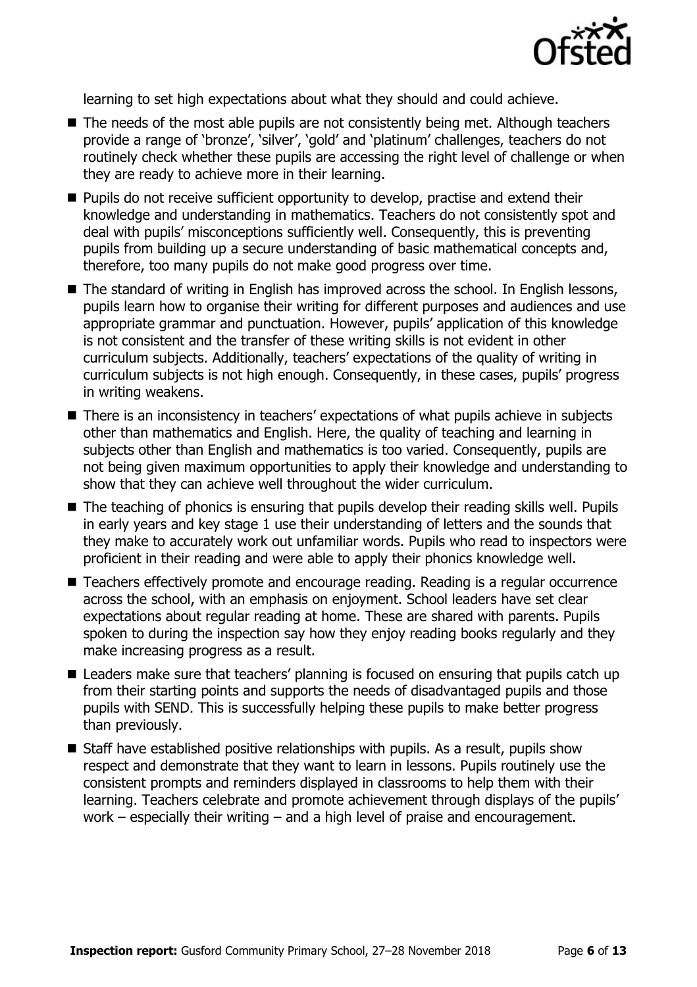

learning to set high expectations about what they should and could achieve.

- The needs of the most able pupils are not consistently being met. Although teachers provide a range of 'bronze', 'silver', 'gold' and 'platinum' challenges, teachers do not routinely check whether these pupils are accessing the right level of challenge or when they are ready to achieve more in their learning.
- **Pupils do not receive sufficient opportunity to develop, practise and extend their** knowledge and understanding in mathematics. Teachers do not consistently spot and deal with pupils' misconceptions sufficiently well. Consequently, this is preventing pupils from building up a secure understanding of basic mathematical concepts and, therefore, too many pupils do not make good progress over time.
- The standard of writing in English has improved across the school. In English lessons, pupils learn how to organise their writing for different purposes and audiences and use appropriate grammar and punctuation. However, pupils' application of this knowledge is not consistent and the transfer of these writing skills is not evident in other curriculum subjects. Additionally, teachers' expectations of the quality of writing in curriculum subjects is not high enough. Consequently, in these cases, pupils' progress in writing weakens.
- There is an inconsistency in teachers' expectations of what pupils achieve in subjects other than mathematics and English. Here, the quality of teaching and learning in subjects other than English and mathematics is too varied. Consequently, pupils are not being given maximum opportunities to apply their knowledge and understanding to show that they can achieve well throughout the wider curriculum.
- The teaching of phonics is ensuring that pupils develop their reading skills well. Pupils in early years and key stage 1 use their understanding of letters and the sounds that they make to accurately work out unfamiliar words. Pupils who read to inspectors were proficient in their reading and were able to apply their phonics knowledge well.
- Teachers effectively promote and encourage reading. Reading is a regular occurrence across the school, with an emphasis on enjoyment. School leaders have set clear expectations about regular reading at home. These are shared with parents. Pupils spoken to during the inspection say how they enjoy reading books regularly and they make increasing progress as a result.
- Leaders make sure that teachers' planning is focused on ensuring that pupils catch up from their starting points and supports the needs of disadvantaged pupils and those pupils with SEND. This is successfully helping these pupils to make better progress than previously.
- Staff have established positive relationships with pupils. As a result, pupils show respect and demonstrate that they want to learn in lessons. Pupils routinely use the consistent prompts and reminders displayed in classrooms to help them with their learning. Teachers celebrate and promote achievement through displays of the pupils' work – especially their writing – and a high level of praise and encouragement.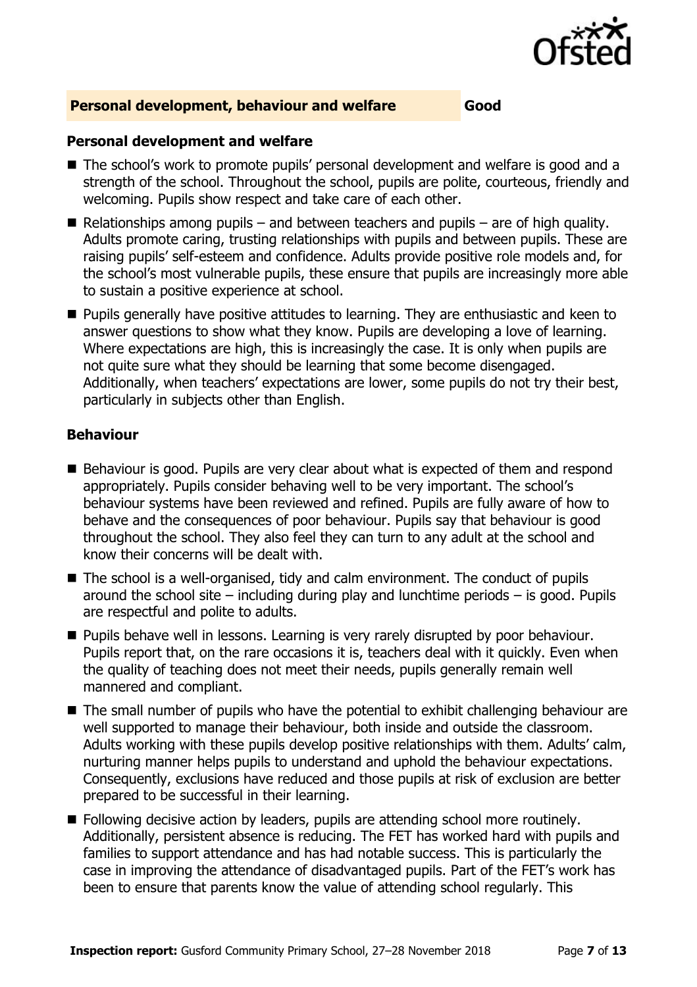

#### **Personal development, behaviour and welfare Good**

#### **Personal development and welfare**

- The school's work to promote pupils' personal development and welfare is good and a strength of the school. Throughout the school, pupils are polite, courteous, friendly and welcoming. Pupils show respect and take care of each other.
- Relationships among pupils and between teachers and pupils are of high quality. Adults promote caring, trusting relationships with pupils and between pupils. These are raising pupils' self-esteem and confidence. Adults provide positive role models and, for the school's most vulnerable pupils, these ensure that pupils are increasingly more able to sustain a positive experience at school.
- **Pupils generally have positive attitudes to learning. They are enthusiastic and keen to** answer questions to show what they know. Pupils are developing a love of learning. Where expectations are high, this is increasingly the case. It is only when pupils are not quite sure what they should be learning that some become disengaged. Additionally, when teachers' expectations are lower, some pupils do not try their best, particularly in subjects other than English.

#### **Behaviour**

- Behaviour is good. Pupils are very clear about what is expected of them and respond appropriately. Pupils consider behaving well to be very important. The school's behaviour systems have been reviewed and refined. Pupils are fully aware of how to behave and the consequences of poor behaviour. Pupils say that behaviour is good throughout the school. They also feel they can turn to any adult at the school and know their concerns will be dealt with.
- The school is a well-organised, tidy and calm environment. The conduct of pupils around the school site  $-$  including during play and lunchtime periods  $-$  is good. Pupils are respectful and polite to adults.
- **Pupils behave well in lessons. Learning is very rarely disrupted by poor behaviour.** Pupils report that, on the rare occasions it is, teachers deal with it quickly. Even when the quality of teaching does not meet their needs, pupils generally remain well mannered and compliant.
- The small number of pupils who have the potential to exhibit challenging behaviour are well supported to manage their behaviour, both inside and outside the classroom. Adults working with these pupils develop positive relationships with them. Adults' calm, nurturing manner helps pupils to understand and uphold the behaviour expectations. Consequently, exclusions have reduced and those pupils at risk of exclusion are better prepared to be successful in their learning.
- **Following decisive action by leaders, pupils are attending school more routinely.** Additionally, persistent absence is reducing. The FET has worked hard with pupils and families to support attendance and has had notable success. This is particularly the case in improving the attendance of disadvantaged pupils. Part of the FET's work has been to ensure that parents know the value of attending school regularly. This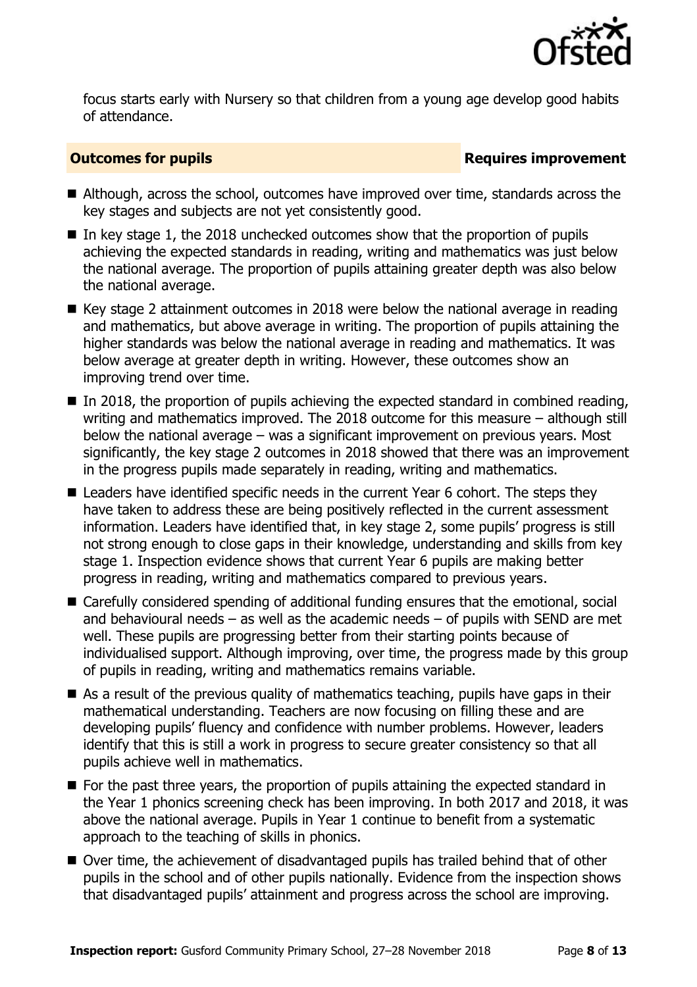

focus starts early with Nursery so that children from a young age develop good habits of attendance.

#### **Outcomes for pupils Requires improvement**

- Although, across the school, outcomes have improved over time, standards across the key stages and subjects are not yet consistently good.
- In key stage 1, the 2018 unchecked outcomes show that the proportion of pupils achieving the expected standards in reading, writing and mathematics was just below the national average. The proportion of pupils attaining greater depth was also below the national average.
- $\blacksquare$  Key stage 2 attainment outcomes in 2018 were below the national average in reading and mathematics, but above average in writing. The proportion of pupils attaining the higher standards was below the national average in reading and mathematics. It was below average at greater depth in writing. However, these outcomes show an improving trend over time.
- $\blacksquare$  In 2018, the proportion of pupils achieving the expected standard in combined reading, writing and mathematics improved. The 2018 outcome for this measure – although still below the national average – was a significant improvement on previous years. Most significantly, the key stage 2 outcomes in 2018 showed that there was an improvement in the progress pupils made separately in reading, writing and mathematics.
- Leaders have identified specific needs in the current Year 6 cohort. The steps they have taken to address these are being positively reflected in the current assessment information. Leaders have identified that, in key stage 2, some pupils' progress is still not strong enough to close gaps in their knowledge, understanding and skills from key stage 1. Inspection evidence shows that current Year 6 pupils are making better progress in reading, writing and mathematics compared to previous years.
- Carefully considered spending of additional funding ensures that the emotional, social and behavioural needs  $-$  as well as the academic needs  $-$  of pupils with SEND are met well. These pupils are progressing better from their starting points because of individualised support. Although improving, over time, the progress made by this group of pupils in reading, writing and mathematics remains variable.
- As a result of the previous quality of mathematics teaching, pupils have gaps in their mathematical understanding. Teachers are now focusing on filling these and are developing pupils' fluency and confidence with number problems. However, leaders identify that this is still a work in progress to secure greater consistency so that all pupils achieve well in mathematics.
- For the past three years, the proportion of pupils attaining the expected standard in the Year 1 phonics screening check has been improving. In both 2017 and 2018, it was above the national average. Pupils in Year 1 continue to benefit from a systematic approach to the teaching of skills in phonics.
- Over time, the achievement of disadvantaged pupils has trailed behind that of other pupils in the school and of other pupils nationally. Evidence from the inspection shows that disadvantaged pupils' attainment and progress across the school are improving.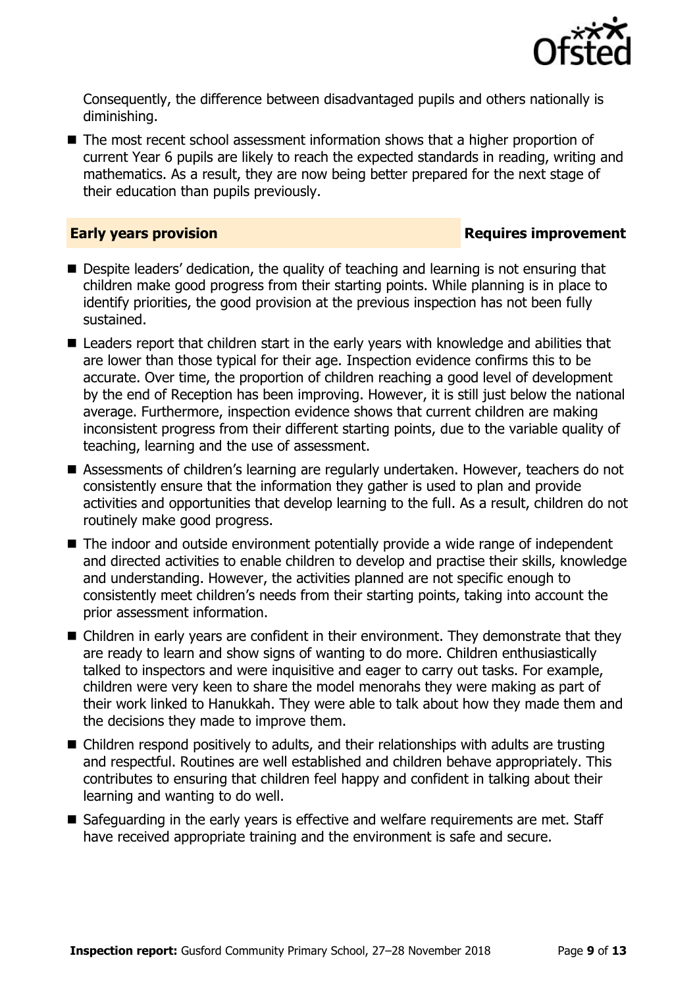

Consequently, the difference between disadvantaged pupils and others nationally is diminishing.

■ The most recent school assessment information shows that a higher proportion of current Year 6 pupils are likely to reach the expected standards in reading, writing and mathematics. As a result, they are now being better prepared for the next stage of their education than pupils previously.

#### **Early years provision Requires improvement**

- Despite leaders' dedication, the quality of teaching and learning is not ensuring that children make good progress from their starting points. While planning is in place to identify priorities, the good provision at the previous inspection has not been fully sustained.
- Leaders report that children start in the early years with knowledge and abilities that are lower than those typical for their age. Inspection evidence confirms this to be accurate. Over time, the proportion of children reaching a good level of development by the end of Reception has been improving. However, it is still just below the national average. Furthermore, inspection evidence shows that current children are making inconsistent progress from their different starting points, due to the variable quality of teaching, learning and the use of assessment.
- Assessments of children's learning are regularly undertaken. However, teachers do not consistently ensure that the information they gather is used to plan and provide activities and opportunities that develop learning to the full. As a result, children do not routinely make good progress.
- The indoor and outside environment potentially provide a wide range of independent and directed activities to enable children to develop and practise their skills, knowledge and understanding. However, the activities planned are not specific enough to consistently meet children's needs from their starting points, taking into account the prior assessment information.
- Children in early years are confident in their environment. They demonstrate that they are ready to learn and show signs of wanting to do more. Children enthusiastically talked to inspectors and were inquisitive and eager to carry out tasks. For example, children were very keen to share the model menorahs they were making as part of their work linked to Hanukkah. They were able to talk about how they made them and the decisions they made to improve them.
- Children respond positively to adults, and their relationships with adults are trusting and respectful. Routines are well established and children behave appropriately. This contributes to ensuring that children feel happy and confident in talking about their learning and wanting to do well.
- Safeguarding in the early years is effective and welfare requirements are met. Staff have received appropriate training and the environment is safe and secure.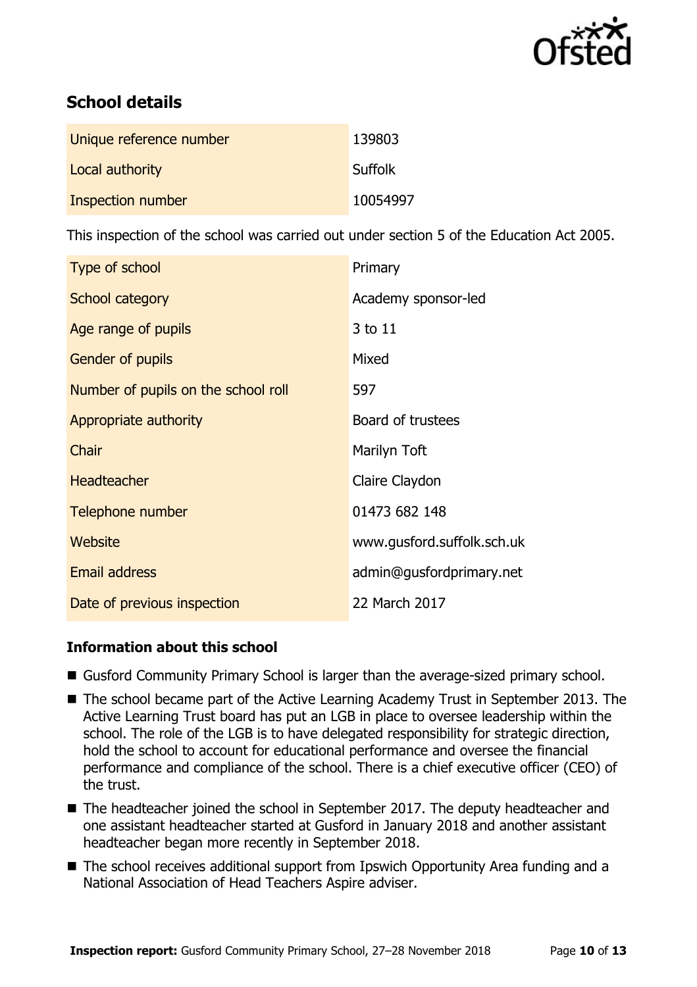

# **School details**

| Unique reference number | 139803         |
|-------------------------|----------------|
| Local authority         | <b>Suffolk</b> |
| Inspection number       | 10054997       |

This inspection of the school was carried out under section 5 of the Education Act 2005.

| Type of school                      | Primary                    |
|-------------------------------------|----------------------------|
| School category                     | Academy sponsor-led        |
| Age range of pupils                 | 3 to 11                    |
| Gender of pupils                    | Mixed                      |
| Number of pupils on the school roll | 597                        |
| Appropriate authority               | Board of trustees          |
| Chair                               | Marilyn Toft               |
| <b>Headteacher</b>                  | Claire Claydon             |
| Telephone number                    | 01473 682 148              |
| Website                             | www.gusford.suffolk.sch.uk |
| <b>Email address</b>                | admin@gusfordprimary.net   |
| Date of previous inspection         | 22 March 2017              |

### **Information about this school**

- Gusford Community Primary School is larger than the average-sized primary school.
- The school became part of the Active Learning Academy Trust in September 2013. The Active Learning Trust board has put an LGB in place to oversee leadership within the school. The role of the LGB is to have delegated responsibility for strategic direction, hold the school to account for educational performance and oversee the financial performance and compliance of the school. There is a chief executive officer (CEO) of the trust.
- The headteacher joined the school in September 2017. The deputy headteacher and one assistant headteacher started at Gusford in January 2018 and another assistant headteacher began more recently in September 2018.
- The school receives additional support from Ipswich Opportunity Area funding and a National Association of Head Teachers Aspire adviser.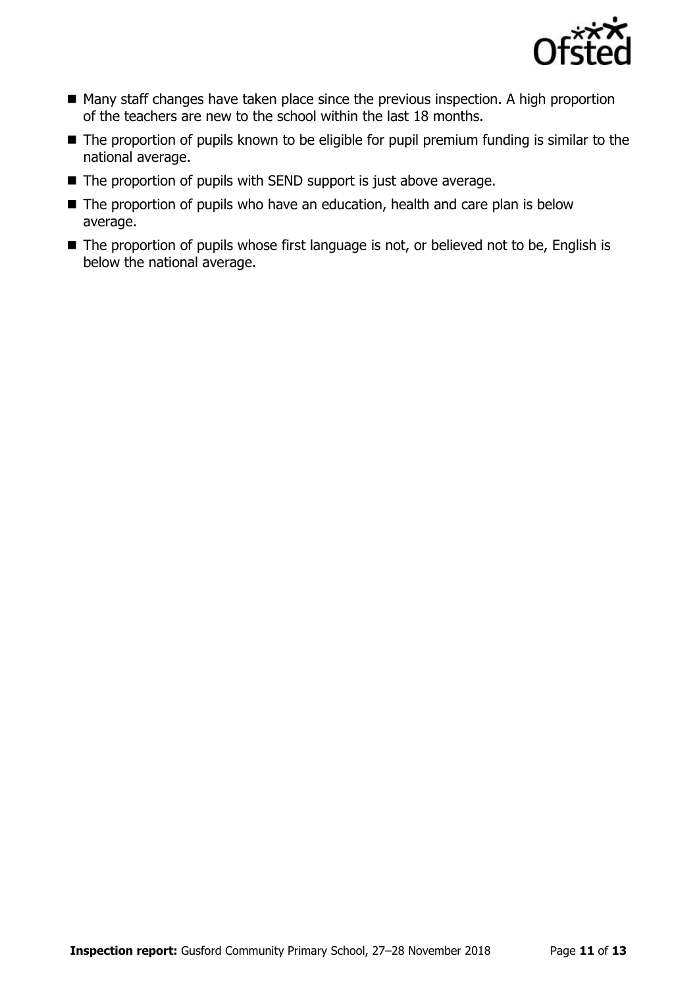

- Many staff changes have taken place since the previous inspection. A high proportion of the teachers are new to the school within the last 18 months.
- The proportion of pupils known to be eligible for pupil premium funding is similar to the national average.
- The proportion of pupils with SEND support is just above average.
- The proportion of pupils who have an education, health and care plan is below average.
- The proportion of pupils whose first language is not, or believed not to be, English is below the national average.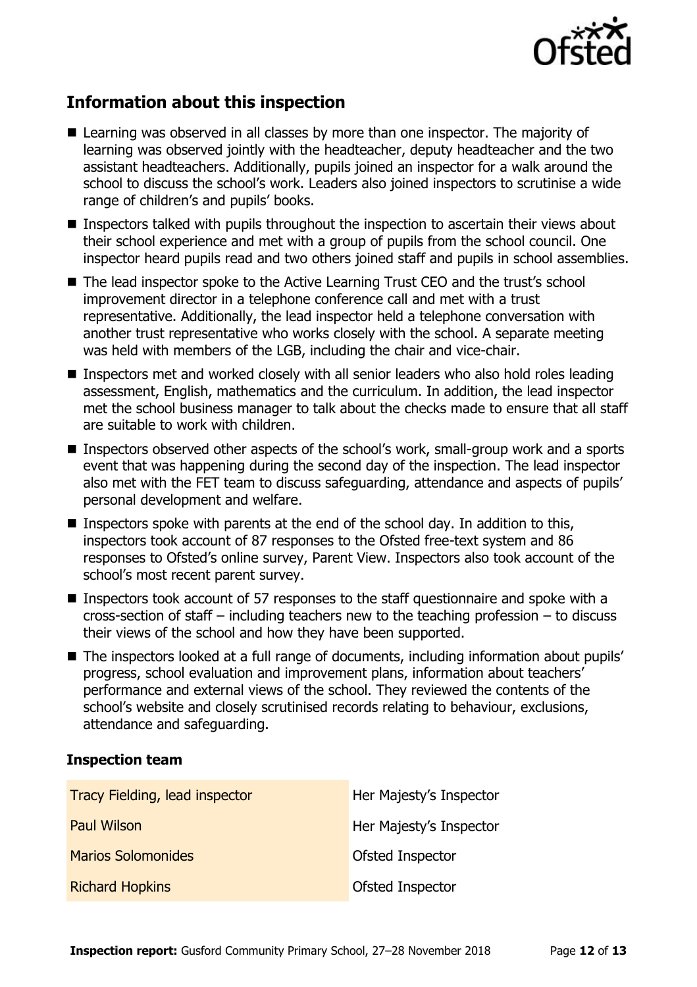

# **Information about this inspection**

- Learning was observed in all classes by more than one inspector. The majority of learning was observed jointly with the headteacher, deputy headteacher and the two assistant headteachers. Additionally, pupils joined an inspector for a walk around the school to discuss the school's work. Leaders also joined inspectors to scrutinise a wide range of children's and pupils' books.
- **Inspectors talked with pupils throughout the inspection to ascertain their views about** their school experience and met with a group of pupils from the school council. One inspector heard pupils read and two others joined staff and pupils in school assemblies.
- The lead inspector spoke to the Active Learning Trust CEO and the trust's school improvement director in a telephone conference call and met with a trust representative. Additionally, the lead inspector held a telephone conversation with another trust representative who works closely with the school. A separate meeting was held with members of the LGB, including the chair and vice-chair.
- Inspectors met and worked closely with all senior leaders who also hold roles leading assessment, English, mathematics and the curriculum. In addition, the lead inspector met the school business manager to talk about the checks made to ensure that all staff are suitable to work with children.
- Inspectors observed other aspects of the school's work, small-group work and a sports event that was happening during the second day of the inspection. The lead inspector also met with the FET team to discuss safeguarding, attendance and aspects of pupils' personal development and welfare.
- Inspectors spoke with parents at the end of the school day. In addition to this, inspectors took account of 87 responses to the Ofsted free-text system and 86 responses to Ofsted's online survey, Parent View. Inspectors also took account of the school's most recent parent survey.
- Inspectors took account of 57 responses to the staff questionnaire and spoke with a cross-section of staff – including teachers new to the teaching profession – to discuss their views of the school and how they have been supported.
- The inspectors looked at a full range of documents, including information about pupils' progress, school evaluation and improvement plans, information about teachers' performance and external views of the school. They reviewed the contents of the school's website and closely scrutinised records relating to behaviour, exclusions, attendance and safeguarding.

#### **Inspection team**

| Tracy Fielding, lead inspector | Her Majesty's Inspector |
|--------------------------------|-------------------------|
| <b>Paul Wilson</b>             | Her Majesty's Inspector |
| <b>Marios Solomonides</b>      | Ofsted Inspector        |
| <b>Richard Hopkins</b>         | Ofsted Inspector        |